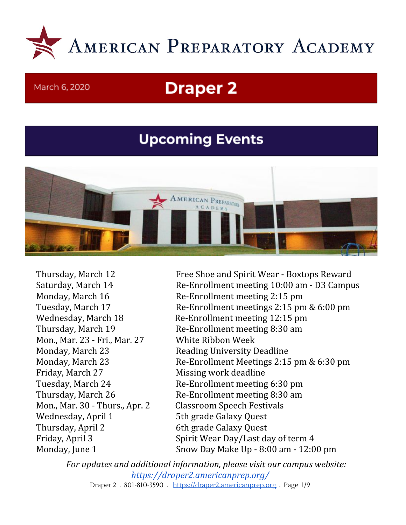

#### March 6, 2020

# **Draper 2**

# **Upcoming Events**



Mon., Mar. 23 - Fri., Mar. 27 White Ribbon Week Monday, March 23 Reading University Deadline Friday, March 27 Missing work deadline Mon., Mar. 30 - Thurs., Apr. 2 Classroom Speech Festivals Wednesday, April 1 5th grade Galaxy Quest Thursday, April 2 6th grade Galaxy Quest

Thursday, March 12 Free Shoe and Spirit Wear - Boxtops Reward Saturday, March 14 Re-Enrollment meeting 10:00 am - D3 Campus Monday, March 16 Re-Enrollment meeting 2:15 pm Tuesday, March 17 Re-Enrollment meetings 2:15 pm & 6:00 pm Wednesday, March 18 Re-Enrollment meeting 12:15 pm Thursday, March 19 Re-Enrollment meeting 8:30 am Monday, March 23 Re-Enrollment Meetings 2:15 pm & 6:30 pm Tuesday, March 24 Re-Enrollment meeting 6:30 pm Thursday, March 26 Re-Enrollment meeting 8:30 am Friday, April 3 Spirit Wear Day/Last day of term 4 Monday, June 1 Snow Day Make Up - 8:00 am - 12:00 pm

*For updates and additional information, please visit our campus website: <https://draper2.americanprep.org/>* Draper 2 . 801-810-3590 . [https://draper2.americanprep.org](https://draper2.americanprep.org/) . Page 1/9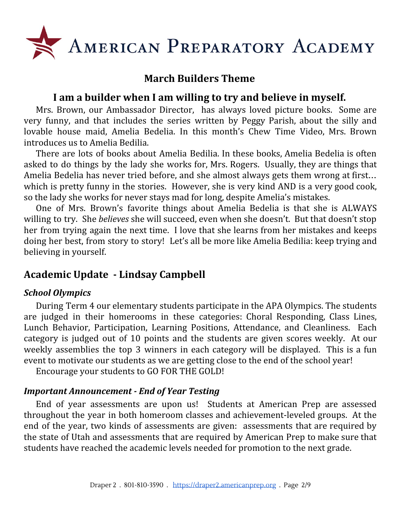

# **March Builders Theme**

# **I am a builder when I am willing to try and believe in myself.**

Mrs. Brown, our Ambassador Director, has always loved picture books. Some are very funny, and that includes the series written by Peggy Parish, about the silly and lovable house maid, Amelia Bedelia. In this month's Chew Time Video, Mrs. Brown introduces us to Amelia Bedilia.

There are lots of books about Amelia Bedilia. In these books, Amelia Bedelia is often asked to do things by the lady she works for, Mrs. Rogers. Usually, they are things that Amelia Bedelia has never tried before, and she almost always gets them wrong at first… which is pretty funny in the stories. However, she is very kind AND is a very good cook, so the lady she works for never stays mad for long, despite Amelia's mistakes.

One of Mrs. Brown's favorite things about Amelia Bedelia is that she is ALWAYS willing to try. She *believes* she will succeed, even when she doesn't. But that doesn't stop her from trying again the next time. I love that she learns from her mistakes and keeps doing her best, from story to story! Let's all be more like Amelia Bedilia: keep trying and believing in yourself.

# **Academic Update - Lindsay Campbell**

## *School Olympics*

During Term 4 our elementary students participate in the APA Olympics. The students are judged in their homerooms in these categories: Choral Responding, Class Lines, Lunch Behavior, Participation, Learning Positions, Attendance, and Cleanliness. Each category is judged out of 10 points and the students are given scores weekly. At our weekly assemblies the top 3 winners in each category will be displayed. This is a fun event to motivate our students as we are getting close to the end of the school year!

Encourage your students to GO FOR THE GOLD!

#### *Important Announcement - End of Year Testing*

End of year assessments are upon us! Students at American Prep are assessed throughout the year in both homeroom classes and achievement-leveled groups. At the end of the year, two kinds of assessments are given: assessments that are required by the state of Utah and assessments that are required by American Prep to make sure that students have reached the academic levels needed for promotion to the next grade.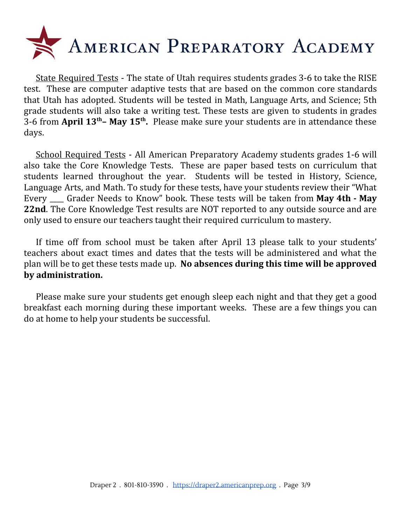

State Required Tests - The state of Utah requires students grades 3-6 to take the RISE test. These are computer adaptive tests that are based on the common core standards that Utah has adopted. Students will be tested in Math, Language Arts, and Science; 5th grade students will also take a writing test. These tests are given to students in grades 3-6 from **April 13 th– May 15 th .** Please make sure your students are in attendance these days.

School Required Tests - All American Preparatory Academy students grades 1-6 will also take the Core Knowledge Tests. These are paper based tests on curriculum that students learned throughout the year. Students will be tested in History, Science, Language Arts, and Math. To study for these tests, have your students review their "What Every \_\_\_\_ Grader Needs to Know" book. These tests will be taken from **May 4th - May 22nd**. The Core Knowledge Test results are NOT reported to any outside source and are only used to ensure our teachers taught their required curriculum to mastery.

If time off from school must be taken after April 13 please talk to your students' teachers about exact times and dates that the tests will be administered and what the plan will be to get these tests made up. **No absences during this time will be approved by administration.**

Please make sure your students get enough sleep each night and that they get a good breakfast each morning during these important weeks. These are a few things you can do at home to help your students be successful.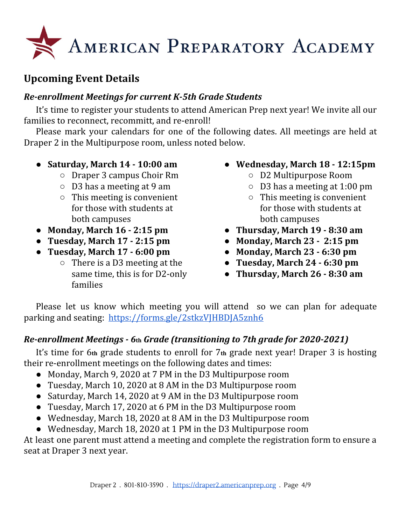

# **Upcoming Event Details**

# *Re-enrollment Meetings for current K-5th Grade Students*

It's time to register your students to attend American Prep next year! We invite all our families to reconnect, recommitt, and re-enroll!

Please mark your calendars for one of the following dates. All meetings are held at Draper 2 in the Multipurpose room, unless noted below.

- **Saturday, March 14 - 10:00 am**
	- Draper 3 campus Choir Rm
	- D3 has a meeting at 9 am
	- $\circ$  This meeting is convenient for those with students at both campuses
- **Monday, March 16 - 2:15 pm**
- **Tuesday, March 17 - 2:15 pm**
- **Tuesday, March 17 - 6:00 pm**
	- $\circ$  There is a D3 meeting at the same time, this is for D2-only families
- **Wednesday, March 18 - 12:15pm**
	- D2 Multipurpose Room
	- D3 has a meeting at 1:00 pm
	- $\circ$  This meeting is convenient for those with students at both campuses
- **Thursday, March 19 - 8:30 am**
- **Monday, March 23 - 2:15 pm**
- **Monday, March 23 - 6:30 pm**
- **Tuesday, March 24 - 6:30 pm**
- **Thursday, March 26 - 8:30 am**

Please let us know which meeting you will attend so we can plan for adequate parking and seating: <https://forms.gle/2stkzVJHBDJA5znh6>

# *Re-enrollment Meetings - 6***th** *Grade (transitioning to 7th grade for 2020-2021)*

It's time for 6**th** grade students to enroll for 7**th** grade next year! Draper 3 is hosting their re-enrollment meetings on the following dates and times:

- Monday, March 9, 2020 at 7 PM in the D3 Multipurpose room
- Tuesday, March 10, 2020 at 8 AM in the D3 Multipurpose room
- Saturday, March 14, 2020 at 9 AM in the D3 Multipurpose room
- Tuesday, March 17, 2020 at 6 PM in the D3 Multipurpose room
- Wednesday, March 18, 2020 at 8 AM in the D3 Multipurpose room
- Wednesday, March 18, 2020 at 1 PM in the D3 Multipurpose room

At least one parent must attend a meeting and complete the registration form to ensure a seat at Draper 3 next year.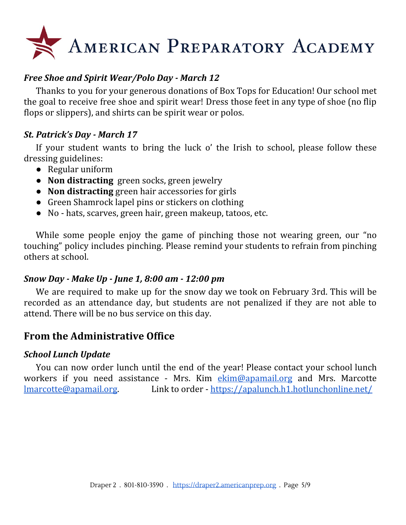# AMERICAN PREPARATORY ACADEMY

# *Free Shoe and Spirit Wear/Polo Day - March 12*

Thanks to you for your generous donations of Box Tops for Education! Our school met the goal to receive free shoe and spirit wear! Dress those feet in any type of shoe (no flip flops or slippers), and shirts can be spirit wear or polos.

#### *St. Patrick's Day - March 17*

If your student wants to bring the luck o' the Irish to school, please follow these dressing guidelines:

- Regular uniform
- **Non distracting** green socks, green jewelry
- **Non distracting** green hair accessories for girls
- Green Shamrock lapel pins or stickers on clothing
- No hats, scarves, green hair, green makeup, tatoos, etc.

While some people enjoy the game of pinching those not wearing green, our "no touching" policy includes pinching. Please remind your students to refrain from pinching others at school.

#### *Snow Day - Make Up - June 1, 8:00 am - 12:00 pm*

We are required to make up for the snow day we took on February 3rd. This will be recorded as an attendance day, but students are not penalized if they are not able to attend. There will be no bus service on this day.

# **From the Administrative Office**

#### *School Lunch Update*

You can now order lunch until the end of the year! Please contact your school lunch workers if you need assistance - Mrs. Kim [ekim@apamail.org](mailto:ekim@apamail.org) and Mrs. Marcotte [lmarcotte@apamail.org.](mailto:lmarcotte@apamail.org) Link to order - <https://apalunch.h1.hotlunchonline.net/>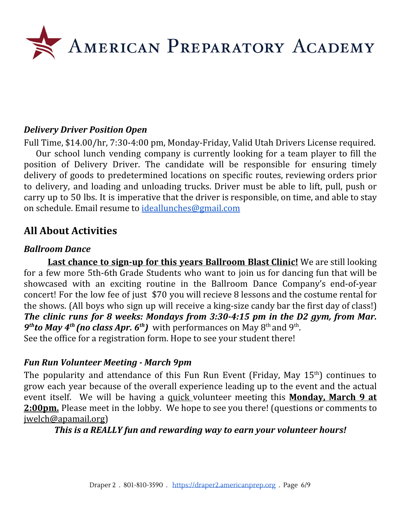

#### *Delivery Driver Position Open*

Full Time, \$14.00/hr, 7:30-4:00 pm, Monday-Friday, Valid Utah Drivers License required.

Our school lunch vending company is currently looking for a team player to fill the position of Delivery Driver. The candidate will be responsible for ensuring timely delivery of goods to predetermined locations on specific routes, reviewing orders prior to delivery, and loading and unloading trucks. Driver must be able to lift, pull, push or carry up to 50 lbs. It is imperative that the driver is responsible, on time, and able to stay on schedule. Email resume to [ideallunches@gmail.com](mailto:ideallunches@gmail.com)

# **All About Activities**

#### *Ballroom Dance*

**Last chance to sign-up for this years Ballroom Blast Clinic!** We are still looking for a few more 5th-6th Grade Students who want to join us for dancing fun that will be showcased with an exciting routine in the Ballroom Dance Company's end-of-year concert! For the low fee of just \$70 you will recieve 8 lessons and the costume rental for the shows. (All boys who sign up will receive a king-size candy bar the first day of class!) *The clinic runs for 8 weeks: Mondays from 3:30-4:15 pm in the D2 gym, from Mar.* **9<sup>th</sup>to May 4<sup>th</sup> (no class Apr. 6<sup>th</sup>)** with performances on May 8<sup>th</sup> and 9<sup>th</sup>. See the office for a registration form. Hope to see your student there!

## *Fun Run Volunteer Meeting - March 9pm*

The popularity and attendance of this Fun Run Event (Friday, May  $15<sup>th</sup>$ ) continues to grow each year because of the overall experience leading up to the event and the actual event itself. We will be having a quick volunteer meeting this **Monday, March 9 at 2:00pm.** Please meet in the lobby. We hope to see you there! (questions or comments to [jwelch@apamail.org](mailto:jwelch@apamail.org))

*This is a REALLY fun and rewarding way to earn your volunteer hours!*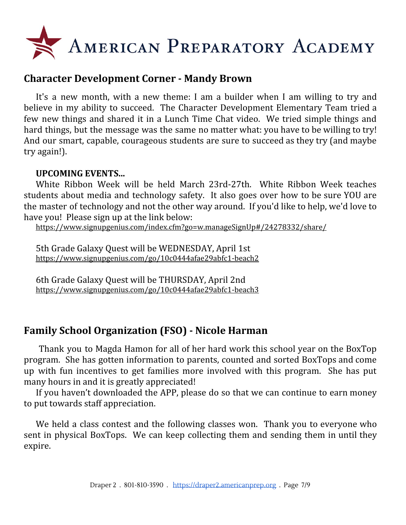

# **Character Development Corner - Mandy Brown**

It's a new month, with a new theme: I am a builder when I am willing to try and believe in my ability to succeed. The Character Development Elementary Team tried a few new things and shared it in a Lunch Time Chat video. We tried simple things and hard things, but the message was the same no matter what: you have to be willing to try! And our smart, capable, courageous students are sure to succeed as they try (and maybe try again!).

#### **UPCOMING EVENTS...**

White Ribbon Week will be held March 23rd-27th. White Ribbon Week teaches students about media and technology safety. It also goes over how to be sure YOU are the master of technology and not the other way around. If you'd like to help, we'd love to have you! Please sign up at the link below:

<https://www.signupgenius.com/index.cfm?go=w.manageSignUp#/24278332/share/>

5th Grade Galaxy Quest will be WEDNESDAY, April 1st <https://www.signupgenius.com/go/10c0444afae29abfc1-beach2>

6th Grade Galaxy Quest will be THURSDAY, April 2nd <https://www.signupgenius.com/go/10c0444afae29abfc1-beach3>

# **Family School Organization (FSO) - Nicole Harman**

Thank you to Magda Hamon for all of her hard work this school year on the BoxTop program. She has gotten information to parents, counted and sorted BoxTops and come up with fun incentives to get families more involved with this program. She has put many hours in and it is greatly appreciated!

If you haven't downloaded the APP, please do so that we can continue to earn money to put towards staff appreciation.

We held a class contest and the following classes won. Thank you to everyone who sent in physical BoxTops. We can keep collecting them and sending them in until they expire.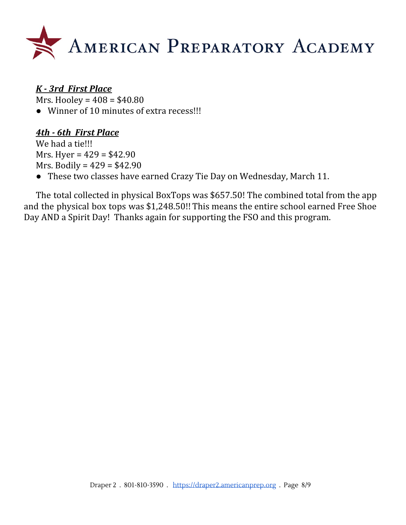

# *K - 3rd First Place*

Mrs. Hooley = 408 = \$40.80

● Winner of 10 minutes of extra recess!!!

# *4th - 6th First Place*

We had a tie!!! Mrs. Hyer =  $429 = $42.90$ Mrs. Bodily =  $429 = $42.90$ 

● These two classes have earned Crazy Tie Day on Wednesday, March 11.

The total collected in physical BoxTops was \$657.50! The combined total from the app and the physical box tops was \$1,248.50!! This means the entire school earned Free Shoe Day AND a Spirit Day! Thanks again for supporting the FSO and this program.